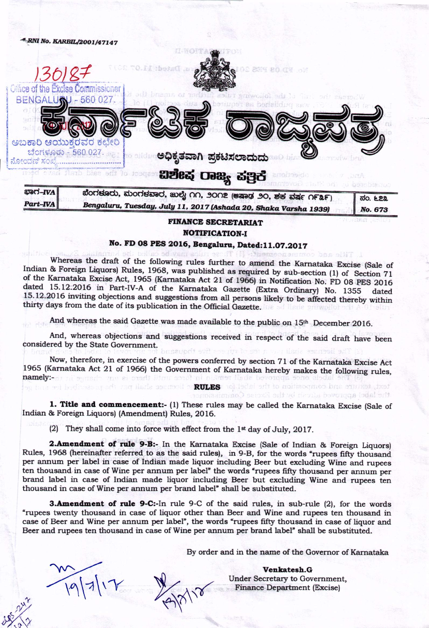

### FINANCE SECRETARIAT NOTIFICATION-I

## No. FD 08 PES 2016, Bengaluru, Dated:11.07.2017

Whereas the draft of the following rules further to amend the Karnataka Excise (Sale of Indian & Foreign Liquors) Rules, 1968, was published as required by sub-section (1) of Section 71 of the Karnataka Excise Act, 1965 (Karnataka Act 21 of 1966) in Notification No. FD 08 PES 2016 dated 15.12:2016 in' Part-IV-A of the Kamataka Gazette (Extra Ordinary) No. 1355 dated 15.12.2016 inviting objections and suggestions from all persons likely to be affected thereby within thirty days from the date of its publication in the Official Gazette. The set listing prime

And whereas the said Gazette was made available to the public on 15<sup>th</sup> December 2016.

And, whereas objections and suggestions received in respect of the said draft have been considered by the State Government.

Now, therefore, in exercise of the powers conferred by section 71 of the Karnataka Excise Act 1965 (Karnataka Act 21 of 1966) the Government of Karnataka hereby makes the following rules, namely:namely:-

RULES

1. Title and commencement:- (1) These rules may be called the Karnataka Excise (Sale of Indian & Foreign Liquors) (Amendment) Rules, 2016.

(2) They shall come into force with effect from the  $1<sup>st</sup>$  day of July, 2017.

2.Amendment of rule 9-B:- In the Karnataka Excise (Sale of Indian & Foreign Liquors) Rules, 1968 (hereinafter referred to as the said rules), in 9-B, for the words "rupees fifty thousand per annum per label in case of Indian made liquor including Beer but excluding Wine and rupees ten thousand in case of Wine per annum per label" the words "rupees fifty thousand per annum per brand label in case of Indian made liquor including Beer but excluding Wine and rupees ten thousand in case of Wine per annum per brand label" shall be substituted.

3.Amendment of rule 9-C:-In rule 9-C of the said rules, in sub-rule (2), for the words "rupees twenty thousand in case of liquor other than Beer and Wine and rupees ten thousand in case of Beer and Wine per annum per label", the words "rupees fifty thousand in case of liquor and Beer and rupees ten thousand in case of Wine per annum per brand label" shall be substituted.

By order and in the name of the Governor of Karnataka

Venkatesh.G Under Secretary to Government, Finance Department (Excise)